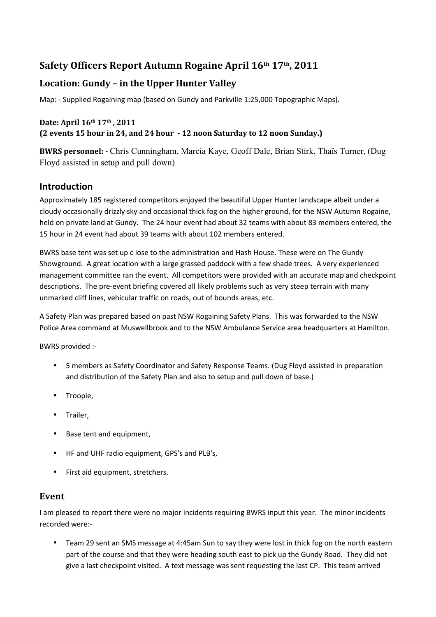# **Safety Officers Report Autumn Rogaine April 16th 17th, 2011**

## **Location: Gundy – in the Upper Hunter Valley**

Map: - Supplied Rogaining map (based on Gundy and Parkville 1:25,000 Topographic Maps).

#### **Date: April 16th 17th , 2011 (2 events 15 hour in 24, and 24 hour - 12 noon Saturday to 12 noon Sunday.)**

**BWRS personnel: -** Chris Cunningham, Marcia Kaye, Geoff Dale, Brian Stirk, Thaïs Turner, (Dug Floyd assisted in setup and pull down)

### **Introduction**

Approximately 185 registered competitors enjoyed the beautiful Upper Hunter landscape albeit under a cloudy occasionally drizzly sky and occasional thick fog on the higher ground, for the NSW Autumn Rogaine, held on private land at Gundy. The 24 hour event had about 32 teams with about 83 members entered, the 15 hour in 24 event had about 39 teams with about 102 members entered.

BWRS base tent was set up c lose to the administration and Hash House. These were on The Gundy Showground. A great location with a large grassed paddock with a few shade trees. A very experienced management committee ran the event. All competitors were provided with an accurate map and checkpoint descriptions. The pre-event briefing covered all likely problems such as very steep terrain with many unmarked cliff lines, vehicular traffic on roads, out of bounds areas, etc.

A Safety Plan was prepared based on past NSW Rogaining Safety Plans. This was forwarded to the NSW Police Area command at Muswellbrook and to the NSW Ambulance Service area headquarters at Hamilton.

BWRS provided :-

- 5 members as Safety Coordinator and Safety Response Teams. (Dug Floyd assisted in preparation and distribution of the Safety Plan and also to setup and pull down of base.)
- Troopie,
- Trailer,
- Base tent and equipment,
- HF and UHF radio equipment, GPS's and PLB's,
- First aid equipment, stretchers.

#### **Event**

I am pleased to report there were no major incidents requiring BWRS input this year. The minor incidents recorded were:-

• Team 29 sent an SMS message at 4:45am Sun to say they were lost in thick fog on the north eastern part of the course and that they were heading south east to pick up the Gundy Road. They did not give a last checkpoint visited. A text message was sent requesting the last CP. This team arrived